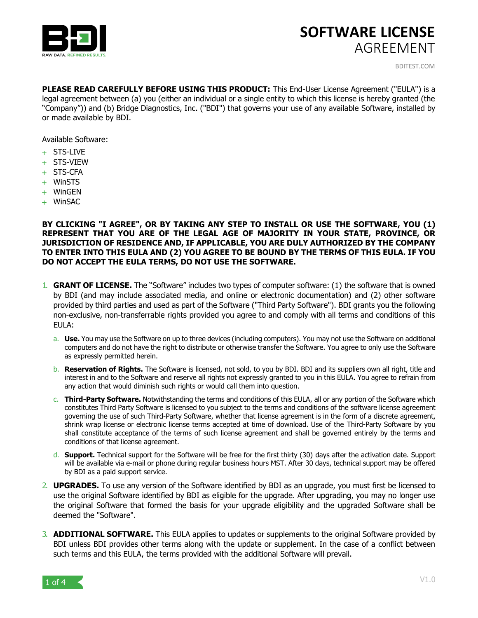



BDITEST.COM

**PLEASE READ CAREFULLY BEFORE USING THIS PRODUCT:** This End-User License Agreement ("EULA") is a legal agreement between (a) you (either an individual or a single entity to which this license is hereby granted (the "Company")) and (b) Bridge Diagnostics, Inc. ("BDI") that governs your use of any available Software, installed by or made available by BDI.

Available Software:

- + STS-LIVE
- + STS-VIEW
- + STS-CFA
- + WinSTS
- + WinGEN
- + WinSAC

**BY CLICKING "I AGREE", OR BY TAKING ANY STEP TO INSTALL OR USE THE SOFTWARE, YOU (1) REPRESENT THAT YOU ARE OF THE LEGAL AGE OF MAJORITY IN YOUR STATE, PROVINCE, OR JURISDICTION OF RESIDENCE AND, IF APPLICABLE, YOU ARE DULY AUTHORIZED BY THE COMPANY TO ENTER INTO THIS EULA AND (2) YOU AGREE TO BE BOUND BY THE TERMS OF THIS EULA. IF YOU DO NOT ACCEPT THE EULA TERMS, DO NOT USE THE SOFTWARE.**

- 1. **GRANT OF LICENSE.** The "Software" includes two types of computer software: (1) the software that is owned by BDI (and may include associated media, and online or electronic documentation) and (2) other software provided by third parties and used as part of the Software ("Third Party Software"). BDI grants you the following non-exclusive, non-transferrable rights provided you agree to and comply with all terms and conditions of this EULA:
	- a. **Use.** You may use the Software on up to three devices (including computers). You may not use the Software on additional computers and do not have the right to distribute or otherwise transfer the Software. You agree to only use the Software as expressly permitted herein.
	- b. **Reservation of Rights.** The Software is licensed, not sold, to you by BDI. BDI and its suppliers own all right, title and interest in and to the Software and reserve all rights not expressly granted to you in this EULA. You agree to refrain from any action that would diminish such rights or would call them into question.
	- c. **Third-Party Software.** Notwithstanding the terms and conditions of this EULA, all or any portion of the Software which constitutes Third Party Software is licensed to you subject to the terms and conditions of the software license agreement governing the use of such Third-Party Software, whether that license agreement is in the form of a discrete agreement, shrink wrap license or electronic license terms accepted at time of download. Use of the Third-Party Software by you shall constitute acceptance of the terms of such license agreement and shall be governed entirely by the terms and conditions of that license agreement.
	- d. **Support.** Technical support for the Software will be free for the first thirty (30) days after the activation date. Support will be available via e-mail or phone during regular business hours MST. After 30 days, technical support may be offered by BDI as a paid support service.
- 2. **UPGRADES.** To use any version of the Software identified by BDI as an upgrade, you must first be licensed to use the original Software identified by BDI as eligible for the upgrade. After upgrading, you may no longer use the original Software that formed the basis for your upgrade eligibility and the upgraded Software shall be deemed the "Software".
- 3. **ADDITIONAL SOFTWARE.** This EULA applies to updates or supplements to the original Software provided by BDI unless BDI provides other terms along with the update or supplement. In the case of a conflict between such terms and this EULA, the terms provided with the additional Software will prevail.

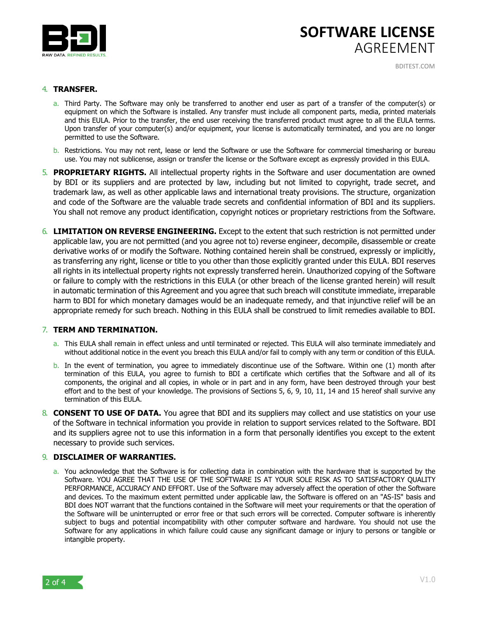

## **SOFTWARE LICENSE** AGREEMENT

BDITEST.COM

#### 4. **TRANSFER.**

- a. Third Party. The Software may only be transferred to another end user as part of a transfer of the computer(s) or equipment on which the Software is installed. Any transfer must include all component parts, media, printed materials and this EULA. Prior to the transfer, the end user receiving the transferred product must agree to all the EULA terms. Upon transfer of your computer(s) and/or equipment, your license is automatically terminated, and you are no longer permitted to use the Software.
- b. Restrictions. You may not rent, lease or lend the Software or use the Software for commercial timesharing or bureau use. You may not sublicense, assign or transfer the license or the Software except as expressly provided in this EULA.
- 5. **PROPRIETARY RIGHTS.** All intellectual property rights in the Software and user documentation are owned by BDI or its suppliers and are protected by law, including but not limited to copyright, trade secret, and trademark law, as well as other applicable laws and international treaty provisions. The structure, organization and code of the Software are the valuable trade secrets and confidential information of BDI and its suppliers. You shall not remove any product identification, copyright notices or proprietary restrictions from the Software.
- 6. **LIMITATION ON REVERSE ENGINEERING.** Except to the extent that such restriction is not permitted under applicable law, you are not permitted (and you agree not to) reverse engineer, decompile, disassemble or create derivative works of or modify the Software. Nothing contained herein shall be construed, expressly or implicitly, as transferring any right, license or title to you other than those explicitly granted under this EULA. BDI reserves all rights in its intellectual property rights not expressly transferred herein. Unauthorized copying of the Software or failure to comply with the restrictions in this EULA (or other breach of the license granted herein) will result in automatic termination of this Agreement and you agree that such breach will constitute immediate, irreparable harm to BDI for which monetary damages would be an inadequate remedy, and that injunctive relief will be an appropriate remedy for such breach. Nothing in this EULA shall be construed to limit remedies available to BDI.

#### 7. **TERM AND TERMINATION.**

- a. This EULA shall remain in effect unless and until terminated or rejected. This EULA will also terminate immediately and without additional notice in the event you breach this EULA and/or fail to comply with any term or condition of this EULA.
- b. In the event of termination, you agree to immediately discontinue use of the Software. Within one (1) month after termination of this EULA, you agree to furnish to BDI a certificate which certifies that the Software and all of its components, the original and all copies, in whole or in part and in any form, have been destroyed through your best effort and to the best of your knowledge. The provisions of Sections 5, 6, 9, 10, 11, 14 and 15 hereof shall survive any termination of this EULA.
- 8. **CONSENT TO USE OF DATA.** You agree that BDI and its suppliers may collect and use statistics on your use of the Software in technical information you provide in relation to support services related to the Software. BDI and its suppliers agree not to use this information in a form that personally identifies you except to the extent necessary to provide such services.

#### 9. **DISCLAIMER OF WARRANTIES.**

a. You acknowledge that the Software is for collecting data in combination with the hardware that is supported by the Software. YOU AGREE THAT THE USE OF THE SOFTWARE IS AT YOUR SOLE RISK AS TO SATISFACTORY QUALITY PERFORMANCE, ACCURACY AND EFFORT. Use of the Software may adversely affect the operation of other the Software and devices. To the maximum extent permitted under applicable law, the Software is offered on an "AS-IS" basis and BDI does NOT warrant that the functions contained in the Software will meet your requirements or that the operation of the Software will be uninterrupted or error free or that such errors will be corrected. Computer software is inherently subject to bugs and potential incompatibility with other computer software and hardware. You should not use the Software for any applications in which failure could cause any significant damage or injury to persons or tangible or intangible property.

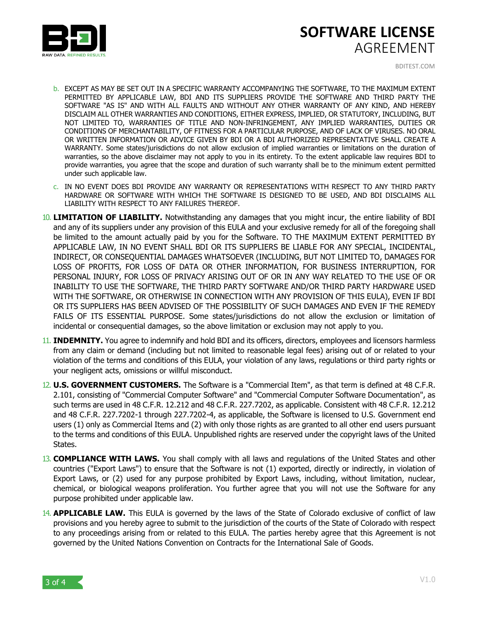

# **SOFTWARE LICENSE** AGREEMENT

BDITEST.COM

- b. EXCEPT AS MAY BE SET OUT IN A SPECIFIC WARRANTY ACCOMPANYING THE SOFTWARE, TO THE MAXIMUM EXTENT PERMITTED BY APPLICABLE LAW, BDI AND ITS SUPPLIERS PROVIDE THE SOFTWARE AND THIRD PARTY THE SOFTWARE "AS IS" AND WITH ALL FAULTS AND WITHOUT ANY OTHER WARRANTY OF ANY KIND, AND HEREBY DISCLAIM ALL OTHER WARRANTIES AND CONDITIONS, EITHER EXPRESS, IMPLIED, OR STATUTORY, INCLUDING, BUT NOT LIMITED TO, WARRANTIES OF TITLE AND NON-INFRINGEMENT, ANY IMPLIED WARRANTIES, DUTIES OR CONDITIONS OF MERCHANTABILITY, OF FITNESS FOR A PARTICULAR PURPOSE, AND OF LACK OF VIRUSES. NO ORAL OR WRITTEN INFORMATION OR ADVICE GIVEN BY BDI OR A BDI AUTHORIZED REPRESENTATIVE SHALL CREATE A WARRANTY. Some states/jurisdictions do not allow exclusion of implied warranties or limitations on the duration of warranties, so the above disclaimer may not apply to you in its entirety. To the extent applicable law requires BDI to provide warranties, you agree that the scope and duration of such warranty shall be to the minimum extent permitted under such applicable law.
- c. IN NO EVENT DOES BDI PROVIDE ANY WARRANTY OR REPRESENTATIONS WITH RESPECT TO ANY THIRD PARTY HARDWARE OR SOFTWARE WITH WHICH THE SOFTWARE IS DESIGNED TO BE USED, AND BDI DISCLAIMS ALL LIABILITY WITH RESPECT TO ANY FAILURES THEREOF.
- 10. **LIMITATION OF LIABILITY.** Notwithstanding any damages that you might incur, the entire liability of BDI and any of its suppliers under any provision of this EULA and your exclusive remedy for all of the foregoing shall be limited to the amount actually paid by you for the Software. TO THE MAXIMUM EXTENT PERMITTED BY APPLICABLE LAW, IN NO EVENT SHALL BDI OR ITS SUPPLIERS BE LIABLE FOR ANY SPECIAL, INCIDENTAL, INDIRECT, OR CONSEQUENTIAL DAMAGES WHATSOEVER (INCLUDING, BUT NOT LIMITED TO, DAMAGES FOR LOSS OF PROFITS, FOR LOSS OF DATA OR OTHER INFORMATION, FOR BUSINESS INTERRUPTION, FOR PERSONAL INJURY, FOR LOSS OF PRIVACY ARISING OUT OF OR IN ANY WAY RELATED TO THE USE OF OR INABILITY TO USE THE SOFTWARE, THE THIRD PARTY SOFTWARE AND/OR THIRD PARTY HARDWARE USED WITH THE SOFTWARE, OR OTHERWISE IN CONNECTION WITH ANY PROVISION OF THIS EULA), EVEN IF BDI OR ITS SUPPLIERS HAS BEEN ADVISED OF THE POSSIBILITY OF SUCH DAMAGES AND EVEN IF THE REMEDY FAILS OF ITS ESSENTIAL PURPOSE. Some states/jurisdictions do not allow the exclusion or limitation of incidental or consequential damages, so the above limitation or exclusion may not apply to you.
- 11. **INDEMNITY.** You agree to indemnify and hold BDI and its officers, directors, employees and licensors harmless from any claim or demand (including but not limited to reasonable legal fees) arising out of or related to your violation of the terms and conditions of this EULA, your violation of any laws, regulations or third party rights or your negligent acts, omissions or willful misconduct.
- 12. **U.S. GOVERNMENT CUSTOMERS.** The Software is a "Commercial Item", as that term is defined at 48 C.F.R. 2.101, consisting of "Commercial Computer Software" and "Commercial Computer Software Documentation", as such terms are used in 48 C.F.R. 12.212 and 48 C.F.R. 227.7202, as applicable. Consistent with 48 C.F.R. 12.212 and 48 C.F.R. 227.7202-1 through 227.7202-4, as applicable, the Software is licensed to U.S. Government end users (1) only as Commercial Items and (2) with only those rights as are granted to all other end users pursuant to the terms and conditions of this EULA. Unpublished rights are reserved under the copyright laws of the United States.
- 13. **COMPLIANCE WITH LAWS.** You shall comply with all laws and regulations of the United States and other countries ("Export Laws") to ensure that the Software is not (1) exported, directly or indirectly, in violation of Export Laws, or (2) used for any purpose prohibited by Export Laws, including, without limitation, nuclear, chemical, or biological weapons proliferation. You further agree that you will not use the Software for any purpose prohibited under applicable law.
- 14. **APPLICABLE LAW.** This EULA is governed by the laws of the State of Colorado exclusive of conflict of law provisions and you hereby agree to submit to the jurisdiction of the courts of the State of Colorado with respect to any proceedings arising from or related to this EULA. The parties hereby agree that this Agreement is not governed by the United Nations Convention on Contracts for the International Sale of Goods.